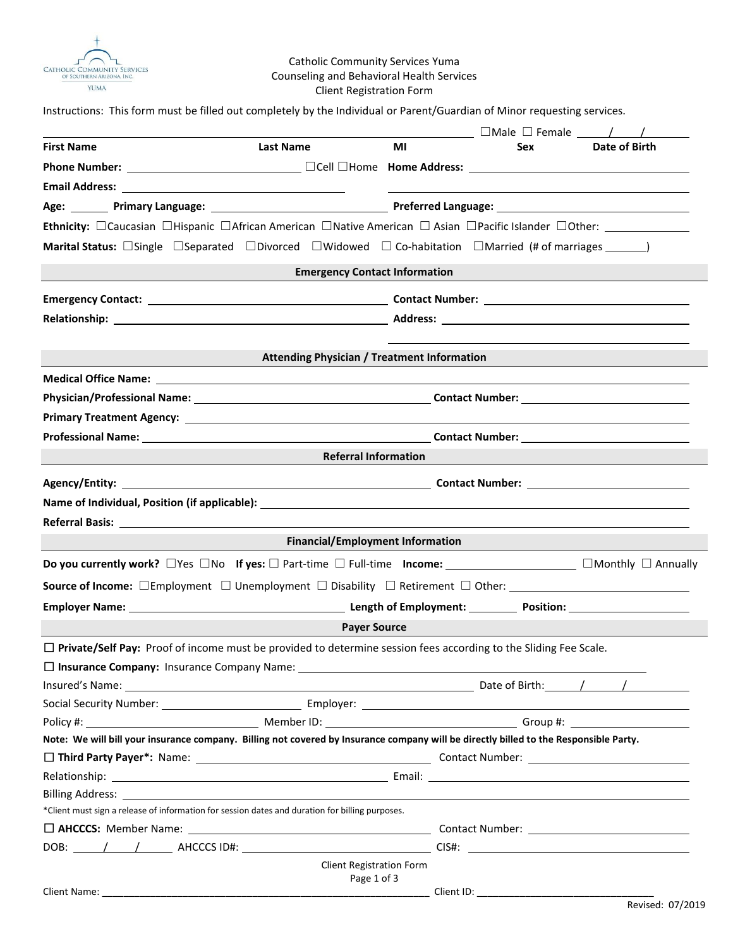

# Catholic Community Services Yuma Counseling and Behavioral Health Services Client Registration Form

Instructions: This form must be filled out completely by the Individual or Parent/Guardian of Minor requesting services.

|                   |                                                                                                                                                   |    |            | $\Box$ Male $\Box$ Female $\_\_\_\_\_$ |
|-------------------|---------------------------------------------------------------------------------------------------------------------------------------------------|----|------------|----------------------------------------|
| <b>First Name</b> | <b>Last Name</b>                                                                                                                                  | MI | <b>Sex</b> | Date of Birth                          |
|                   |                                                                                                                                                   |    |            |                                        |
|                   |                                                                                                                                                   |    |            |                                        |
|                   |                                                                                                                                                   |    |            |                                        |
|                   | Ethnicity: □Caucasian □Hispanic □African American □Native American □ Asian □Pacific Islander □Other: _______________                              |    |            |                                        |
|                   | <b>Marital Status:</b> $\Box$ Single $\Box$ Separated $\Box$ Divorced $\Box$ Widowed $\Box$ Co-habitation $\Box$ Married (# of marriages _______) |    |            |                                        |
|                   | <b>Emergency Contact Information</b>                                                                                                              |    |            |                                        |
|                   |                                                                                                                                                   |    |            |                                        |
|                   |                                                                                                                                                   |    |            |                                        |
|                   |                                                                                                                                                   |    |            |                                        |
|                   | <b>Attending Physician / Treatment Information</b>                                                                                                |    |            |                                        |
|                   |                                                                                                                                                   |    |            |                                        |
|                   |                                                                                                                                                   |    |            |                                        |
|                   |                                                                                                                                                   |    |            |                                        |
|                   |                                                                                                                                                   |    |            |                                        |
|                   | <b>Referral Information</b>                                                                                                                       |    |            |                                        |
|                   |                                                                                                                                                   |    |            |                                        |
|                   |                                                                                                                                                   |    |            |                                        |
|                   |                                                                                                                                                   |    |            |                                        |
|                   | <b>Financial/Employment Information</b>                                                                                                           |    |            |                                        |
|                   | Do you currently work? □ Yes □ No If yes: □ Part-time □ Full-time Income: _______________________ □ Monthly □ Annually                            |    |            |                                        |
|                   |                                                                                                                                                   |    |            |                                        |
|                   |                                                                                                                                                   |    |            |                                        |
|                   | <b>Payer Source</b>                                                                                                                               |    |            |                                        |
|                   | $\Box$ Private/Self Pay: Proof of income must be provided to determine session fees according to the Sliding Fee Scale.                           |    |            |                                        |
|                   | □ Insurance Company: Insurance Company Name: ___________________________________                                                                  |    |            |                                        |
|                   |                                                                                                                                                   |    |            |                                        |
|                   |                                                                                                                                                   |    |            |                                        |
|                   |                                                                                                                                                   |    |            |                                        |
|                   | Note: We will bill your insurance company. Billing not covered by Insurance company will be directly billed to the Responsible Party.             |    |            |                                        |
|                   |                                                                                                                                                   |    |            |                                        |
|                   |                                                                                                                                                   |    |            |                                        |
|                   |                                                                                                                                                   |    |            |                                        |
|                   | *Client must sign a release of information for session dates and duration for billing purposes.                                                   |    |            |                                        |
|                   |                                                                                                                                                   |    |            |                                        |
|                   |                                                                                                                                                   |    |            |                                        |
|                   | <b>Client Registration Form</b>                                                                                                                   |    |            |                                        |
|                   | Page 1 of 3                                                                                                                                       |    |            |                                        |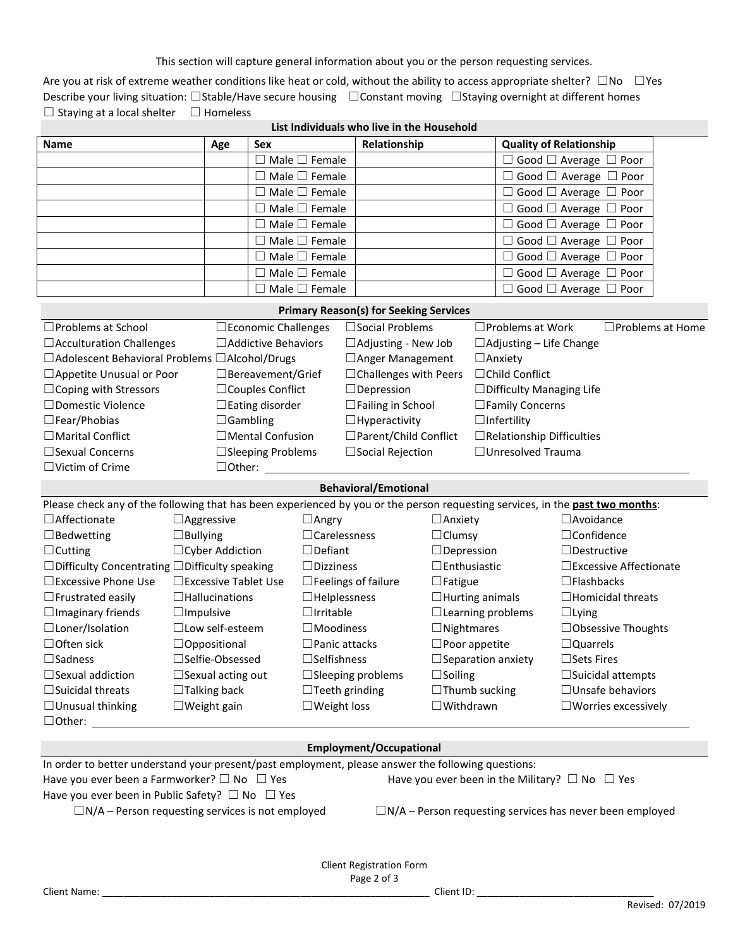This section will capture general information about you or the person requesting services.

Are you at risk of extreme weather conditions like heat or cold, without the ability to access appropriate shelter?  $□No □Yes$ Describe your living situation: □Stable/Have secure housing □Constant moving □Staying overnight at different homes ☐ Staying at a local shelter ☐ Homeless

| List Individuals who live in the Household |     |                           |              |                                        |
|--------------------------------------------|-----|---------------------------|--------------|----------------------------------------|
| <b>Name</b>                                | Age | <b>Sex</b>                | Relationship | <b>Quality of Relationship</b>         |
|                                            |     | $\Box$ Male $\Box$ Female |              | $\Box$ Good $\Box$ Average $\Box$ Poor |
|                                            |     | $\Box$ Male $\Box$ Female |              | $\Box$ Good $\Box$ Average $\Box$ Poor |
|                                            |     | $\Box$ Male $\Box$ Female |              | $\Box$ Good $\Box$ Average $\Box$ Poor |
|                                            |     | $\Box$ Male $\Box$ Female |              | $\Box$ Good $\Box$ Average $\Box$ Poor |
|                                            |     | $\Box$ Male $\Box$ Female |              | $\Box$ Good $\Box$ Average $\Box$ Poor |
|                                            |     | $\Box$ Male $\Box$ Female |              | $\Box$ Good $\Box$ Average $\Box$ Poor |
|                                            |     | $\Box$ Male $\Box$ Female |              | $\Box$ Good $\Box$ Average $\Box$ Poor |
|                                            |     | $\Box$ Male $\Box$ Female |              | $\Box$ Good $\Box$ Average $\Box$ Poor |
|                                            |     | $\Box$ Male $\Box$ Female |              | $\Box$ Good $\Box$ Average $\Box$ Poor |

| <b>Primary Reason(s) for Seeking Services</b>    |                               |                              |                                  |                         |  |
|--------------------------------------------------|-------------------------------|------------------------------|----------------------------------|-------------------------|--|
| □ Problems at School                             | $\square$ Economic Challenges | $\Box$ Social Problems       | $\Box$ Problems at Work          | $\Box$ Problems at Home |  |
| $\Box$ Acculturation Challenges                  | $\Box$ Addictive Behaviors    | $\Box$ Adjusting - New Job   | $\Box$ Adjusting – Life Change   |                         |  |
| □ Adolescent Behavioral Problems □ Alcohol/Drugs |                               | $\Box$ Anger Management      | $\Box$ Anxiety                   |                         |  |
| □ Appetite Unusual or Poor                       | $\Box$ Bereavement/Grief      | $\Box$ Challenges with Peers | $\Box$ Child Conflict            |                         |  |
| $\Box$ Coping with Stressors                     | $\Box$ Couples Conflict       | $\Box$ Depression            | $\Box$ Difficulty Managing Life  |                         |  |
| □Domestic Violence                               | $\Box$ Eating disorder        | $\Box$ Failing in School     | $\square$ Family Concerns        |                         |  |
| $\square$ Fear/Phobias                           | $\Box$ Gambling               | $\Box$ Hyperactivity         | $\square$ Infertility            |                         |  |
| $\Box$ Marital Conflict                          | $\Box$ Mental Confusion       | □ Parent/Child Conflict      | $\Box$ Relationship Difficulties |                         |  |
| $\Box$ Sexual Concerns                           | $\Box$ Sleeping Problems      | $\Box$ Social Rejection      | $\Box$ Unresolved Trauma         |                         |  |
| $\Box$ Victim of Crime                           | $\Box$ Other: $\,$            |                              |                                  |                         |  |
|                                                  |                               |                              |                                  |                         |  |

# **Behavioral/Emotional**

| Please check any of the following that has been experienced by you or the person requesting services, in the past two months: |                                |                            |                           |                                  |  |
|-------------------------------------------------------------------------------------------------------------------------------|--------------------------------|----------------------------|---------------------------|----------------------------------|--|
| $\Box$ Affectionate                                                                                                           | $\Box$ Aggressive              | $\Box$ Angry               | $\Box$ Anxiety            | $\Box$ Avoidance                 |  |
| $\Box$ Bedwetting                                                                                                             | $\Box$ Bullying                | $\Box$ Carelessness        | $\Box$ Clumsy             | $\Box$ Confidence                |  |
| $\Box$ Cutting                                                                                                                | $\Box$ Cyber Addiction         | $\Box$ Defiant             | $\Box$ Depression         | $\Box$ Destructive               |  |
| $\Box$ Difficulty Concentrating $\Box$ Difficulty speaking                                                                    |                                | $\Box$ Dizziness           | $\Box$ Enthusiastic       | $\square$ Excessive Affectionate |  |
| $\Box$ Excessive Phone Use                                                                                                    | $\square$ Excessive Tablet Use | $\Box$ Feelings of failure | $\Box$ Fatigue            | $\Box$ Flashbacks                |  |
| $\Box$ Frustrated easily                                                                                                      | $\Box$ Hallucinations          | $\Box$ Helplessness        | $\Box$ Hurting animals    | $\Box$ Homicidal threats         |  |
| $\Box$ Imaginary friends                                                                                                      | $\Box$ Impulsive               | $\Box$ Irritable           | $\Box$ Learning problems  | $\Box$ Lying                     |  |
| $\Box$ Loner/Isolation                                                                                                        | $\Box$ Low self-esteem         | $\square$ Moodiness        | $\Box$ Nightmares         | $\Box$ Obsessive Thoughts        |  |
| $\Box$ Often sick                                                                                                             | $\Box$ Oppositional            | $\square$ Panic attacks    | $\Box$ Poor appetite      | $\Box$ Quarrels                  |  |
| $\square$ Sadness                                                                                                             | $\square$ Selfie-Obsessed      | $\square$ Selfishness      | $\Box$ Separation anxiety | $\Box$ Sets Fires                |  |
| $\Box$ Sexual addiction                                                                                                       | $\Box$ Sexual acting out       | $\Box$ Sleeping problems   | $\Box$ Soiling            | $\Box$ Suicidal attempts         |  |
| $\Box$ Suicidal threats                                                                                                       | $\Box$ Talking back            | $\Box$ Teeth grinding      | $\Box$ Thumb sucking      | $\Box$ Unsafe behaviors          |  |
| $\Box$ Unusual thinking                                                                                                       | $\Box$ Weight gain             | $\Box$ Weight loss         | $\Box$ Withdrawn          | $\square$ Worries excessively    |  |
| $\Box$ Other:                                                                                                                 |                                |                            |                           |                                  |  |

## **Employment/Occupational**

| In order to better understand your present/past employment, please answer the following questions: |                                                                 |  |  |  |
|----------------------------------------------------------------------------------------------------|-----------------------------------------------------------------|--|--|--|
| Have you ever been a Farmworker? $\square$ No $\square$ Yes                                        | Have you ever been in the Military? $\Box$ No $\Box$ Yes        |  |  |  |
| Have you ever been in Public Safety? $\Box$ No $\Box$ Yes                                          |                                                                 |  |  |  |
| $\Box$ N/A – Person requesting services is not employed                                            | $\Box$ N/A – Person requesting services has never been employed |  |  |  |
|                                                                                                    |                                                                 |  |  |  |
|                                                                                                    |                                                                 |  |  |  |